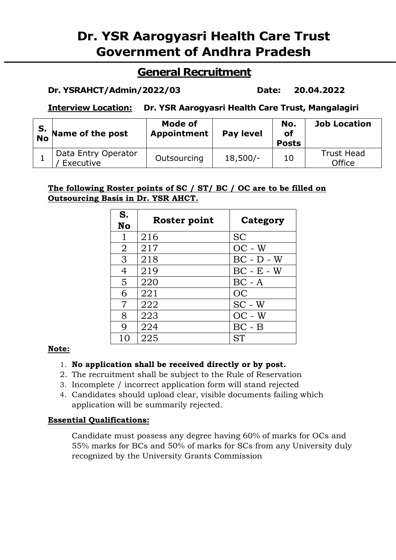# **Dr. YSR Aarogyasri Health Care Trust Government of Andhra Pradesh**

# **General Recruitment**

#### **Dr. YSRAHCT/Admin/2022/03 Date: 20.04.2022**

# **Interview Location: Dr. YSR Aarogyasri Health Care Trust, Mangalagiri**

| S. | $\sqrt{\phantom{a}}$ Name of the post | Mode of<br><b>Appointment</b> | Pay level  | No.<br><b>of</b><br><b>Posts</b> | <b>Job Location</b>         |
|----|---------------------------------------|-------------------------------|------------|----------------------------------|-----------------------------|
|    | Data Entry Operator<br>Executive      | Outsourcing                   | $18,500/-$ | 10                               | <b>Trust Head</b><br>Office |

# **The following Roster points of SC / ST/ BC / OC are to be filled on Outsourcing Basis in Dr. YSR AHCT.**

| S.<br>No       | Roster point | Category     |
|----------------|--------------|--------------|
| $\mathbf{1}$   | 216          | <b>SC</b>    |
| $\overline{2}$ | 217          | $OC - W$     |
| $\mathbf{3}$   | 218          | $BC - D - W$ |
| $\overline{4}$ | 219          | $BC - E - W$ |
| $\overline{5}$ | 220          | $BC - A$     |
| 6              | 221          | <b>OC</b>    |
| $\overline{7}$ | 222          | $SC - W$     |
| 8              | 223          | $OC - W$     |
| 9              | 224          | $BC - B$     |
| 10             | 225          | <b>ST</b>    |

#### **Note:**

#### 1. **No application shall be received directly or by post.**

- 2. The recruitment shall be subject to the Rule of Reservation
- 3. Incomplete / incorrect application form will stand rejected
- 4. Candidates should upload clear, visible documents failing which application will be summarily rejected.

#### **Essential Qualifications:**

Candidate must possess any degree having 60% of marks for OCs and 55% marks for BCs and 50% of marks for SCs from any University duly recognized by the University Grants Commission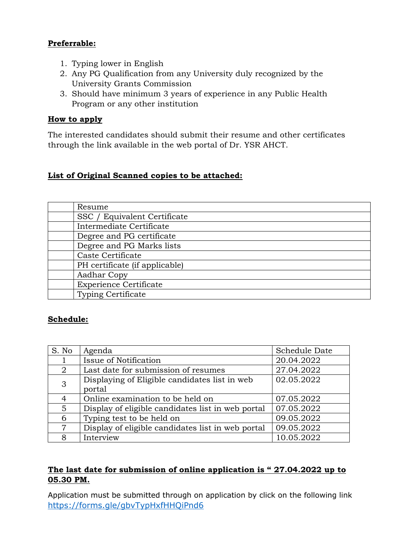# **Preferrable:**

- 1. Typing lower in English
- 2. Any PG Qualification from any University duly recognized by the University Grants Commission
- 3. Should have minimum 3 years of experience in any Public Health Program or any other institution

#### **How to apply**

The interested candidates should submit their resume and other certificates through the link available in the web portal of Dr. YSR AHCT.

# **List of Original Scanned copies to be attached:**

| Resume                         |
|--------------------------------|
| SSC / Equivalent Certificate   |
| Intermediate Certificate       |
| Degree and PG certificate      |
| Degree and PG Marks lists      |
| Caste Certificate              |
| PH certificate (if applicable) |
| Aadhar Copy                    |
| <b>Experience Certificate</b>  |
| Typing Certificate             |

# **Schedule:**

| S. No                          | Agenda                                            | Schedule Date |
|--------------------------------|---------------------------------------------------|---------------|
|                                | Issue of Notification                             | 20.04.2022    |
| 2                              | Last date for submission of resumes               | 27.04.2022    |
| 3                              | Displaying of Eligible candidates list in web     | 02.05.2022    |
|                                | portal                                            |               |
| 4                              | Online examination to be held on                  | 07.05.2022    |
| $5^{\circ}$                    | Display of eligible candidates list in web portal | 07.05.2022    |
| Typing test to be held on<br>6 |                                                   | 09.05.2022    |
| 7                              | Display of eligible candidates list in web portal | 09.05.2022    |
| 8                              | Interview                                         | 10.05.2022    |

#### **The last date for submission of online application is " 27.04.2022 up to 05.30 PM.**

Application must be submitted through on application by click on the following link <https://forms.gle/gbvTypHxfHHQiPnd6>